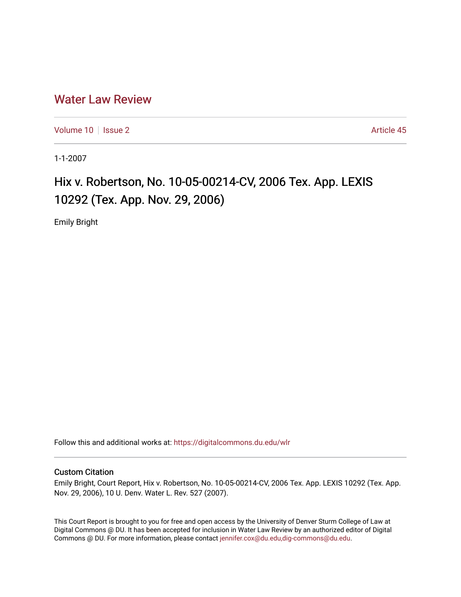# [Water Law Review](https://digitalcommons.du.edu/wlr)

[Volume 10](https://digitalcommons.du.edu/wlr/vol10) | [Issue 2](https://digitalcommons.du.edu/wlr/vol10/iss2) Article 45

1-1-2007

# Hix v. Robertson, No. 10-05-00214-CV, 2006 Tex. App. LEXIS 10292 (Tex. App. Nov. 29, 2006)

Emily Bright

Follow this and additional works at: [https://digitalcommons.du.edu/wlr](https://digitalcommons.du.edu/wlr?utm_source=digitalcommons.du.edu%2Fwlr%2Fvol10%2Fiss2%2F45&utm_medium=PDF&utm_campaign=PDFCoverPages) 

## Custom Citation

Emily Bright, Court Report, Hix v. Robertson, No. 10-05-00214-CV, 2006 Tex. App. LEXIS 10292 (Tex. App. Nov. 29, 2006), 10 U. Denv. Water L. Rev. 527 (2007).

This Court Report is brought to you for free and open access by the University of Denver Sturm College of Law at Digital Commons @ DU. It has been accepted for inclusion in Water Law Review by an authorized editor of Digital Commons @ DU. For more information, please contact [jennifer.cox@du.edu,dig-commons@du.edu.](mailto:jennifer.cox@du.edu,dig-commons@du.edu)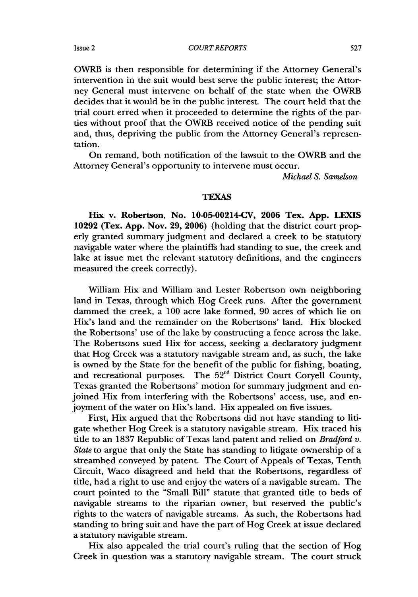OWRB is then responsible for determining if the Attorney General's intervention in the suit would best serve the public interest; the Attorney General must intervene on behalf of the state when the OWRB decides that it would be in the public interest. The court held that the trial court erred when it proceeded to determine the rights of the parties without proof that the OWRB received notice of the pending suit and, thus, depriving the public from the Attorney General's representation.

On remand, both notification of the lawsuit to the OWRB and the Attorney General's opportunity to intervene must occur.

*Michael S. Samelson*

### **TEXAS**

**Hix** v. Robertson, No. 10-05-00214-CV, **2006** Tex. **App. LEXIS 10292** (Tex. **App.** Nov. **29, 2006)** (holding that the district court properly granted summary judgment and declared a creek to be statutory navigable water where the plaintiffs had standing to sue, the creek and lake at issue met the relevant statutory definitions, and the engineers measured the creek correctly).

William Hix and William and Lester Robertson own neighboring land in Texas, through which Hog Creek runs. After the government dammed the creek, a 100 acre lake formed, 90 acres of which lie on Hix's land and the remainder on the Robertsons' land. Hix blocked the Robertsons' use of the lake **by** constructing a fence across the lake. The Robertsons sued Hix for access, seeking a declaratory judgment that Hog Creek was a statutory navigable stream and, as such, the lake is owned **by** the State for the benefit of the public for fishing, boating, and recreational purposes. The 52<sup>nd</sup> District Court Coryell County, Texas granted the Robertsons' motion for summary judgment and enjoined Hix from interfering with the Robertsons' access, use, and enjoyment of the water on Hix's land. Hix appealed on five issues.

First, Hix argued that the Robertsons did not have standing to litigate whether Hog Creek is a statutory navigable stream. Hix traced his title to an 1837 Republic of Texas land patent and relied on *Bradford v. State* to argue that only the State has standing to litigate ownership of a streambed conveyed by patent. The Court of Appeals of Texas, Tenth Circuit, Waco disagreed and held that the Robertsons, regardless of tile, had a right to use and enjoy the waters of a navigable stream. The court pointed to the "Small Bill" statute that granted title to beds of navigable streams to the riparian owner, but reserved the public's rights to the waters of navigable streams. As such, the Robertsons had standing to bring suit and have the part of Hog Creek at issue declared a statutory navigable stream.

Hix also appealed the trial court's ruling that the section of Hog Creek in question was a statutory navigable stream. The court struck